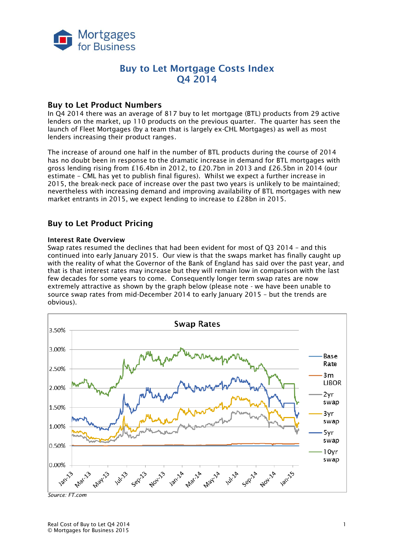

## **Buy to Let Mortgage Costs Index Q4 2014**

### **Buy to Let Product Numbers**

In Q4 2014 there was an average of 817 buy to let mortgage (BTL) products from 29 active lenders on the market, up 110 products on the previous quarter. The quarter has seen the launch of Fleet Mortgages (by a team that is largely ex-CHL Mortgages) as well as most lenders increasing their product ranges.

The increase of around one half in the number of BTL products during the course of 2014 has no doubt been in response to the dramatic increase in demand for BTL mortgages with gross lending rising from £16.4bn in 2012, to £20.7bn in 2013 and £26.5bn in 2014 (our estimate – CML has yet to publish final figures). Whilst we expect a further increase in 2015, the break-neck pace of increase over the past two years is unlikely to be maintained; nevertheless with increasing demand and improving availability of BTL mortgages with new market entrants in 2015, we expect lending to increase to £28bn in 2015.

### **Buy to Let Product Pricing**

#### **Interest Rate Overview**

Swap rates resumed the declines that had been evident for most of Q3 2014 – and this continued into early January 2015. Our view is that the swaps market has finally caught up with the reality of what the Governor of the Bank of England has said over the past year, and that is that interest rates may increase but they will remain low in comparison with the last few decades for some years to come. Consequently longer term swap rates are now extremely attractive as shown by the graph below (please note - we have been unable to source swap rates from mid-December 2014 to early January 2015 – but the trends are obvious).



*Source: FT.com*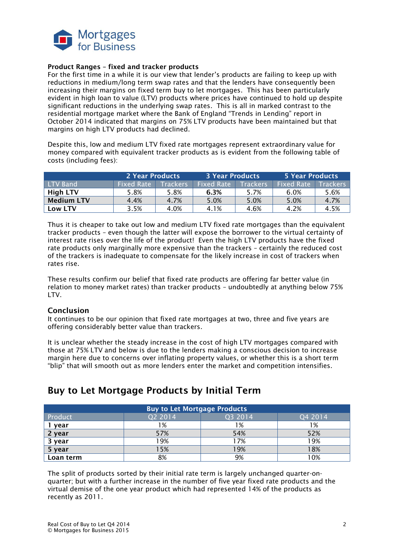

#### **Product Ranges – fixed and tracker products**

For the first time in a while it is our view that lender's products are failing to keep up with reductions in medium/long term swap rates and that the lenders have consequently been increasing their margins on fixed term buy to let mortgages. This has been particularly evident in high loan to value (LTV) products where prices have continued to hold up despite significant reductions in the underlying swap rates. This is all in marked contrast to the residential mortgage market where the Bank of England "Trends in Lending" report in October 2014 indicated that margins on 75% LTV products have been maintained but that margins on high LTV products had declined.

Despite this, low and medium LTV fixed rate mortgages represent extraordinary value for money compared with equivalent tracker products as is evident from the following table of costs (including fees):

|                   | 2 Year Products   |                 | <b>3 Year Products</b> |                 | 5 Year Products   |                 |
|-------------------|-------------------|-----------------|------------------------|-----------------|-------------------|-----------------|
| <b>LTV Band</b>   | <b>Fixed Rate</b> | <b>Trackers</b> | Fixed Rate             | <b>Trackers</b> | <b>Fixed Rate</b> | <b>Trackers</b> |
| <b>High LTV</b>   | 5.8%              | 5.8%            | 6.3%                   | 5.7%            | 6.0%              | 5.6%            |
| <b>Medium LTV</b> | 4.4%              | 4.7%            | 5.0%                   | 5.0%            | 5.0%              | 4.7%            |
| Low LTV           | 3.5%              | 4.0%            | 4.1%                   | 4.6%            | 4.2%              | 4.5%            |

Thus it is cheaper to take out low and medium LTV fixed rate mortgages than the equivalent tracker products – even though the latter will expose the borrower to the virtual certainty of interest rate rises over the life of the product! Even the high LTV products have the fixed rate products only marginally more expensive than the trackers – certainly the reduced cost of the trackers is inadequate to compensate for the likely increase in cost of trackers when rates rise.

These results confirm our belief that fixed rate products are offering far better value (in relation to money market rates) than tracker products – undoubtedly at anything below 75% I TV

#### **Conclusion**

It continues to be our opinion that fixed rate mortgages at two, three and five years are offering considerably better value than trackers.

It is unclear whether the steady increase in the cost of high LTV mortgages compared with those at 75% LTV and below is due to the lenders making a conscious decision to increase margin here due to concerns over inflating property values, or whether this is a short term "blip" that will smooth out as more lenders enter the market and competition intensifies.

### **Buy to Let Mortgage Products** Product 2014 Q2 2014 Q2 2014 Q3 2014 Q4 2014 **1 year** 1% 1% 1% 2 year **57% 52% 52% 52% 52% 52% 52% 52% 52% 3 year** 19% 17% 19% **5 year** 15% 19% 18% **Loan term**  $\begin{array}{ccc} 1 & 8\% & 1 & 9\% \\ 1 & 8 & 9\% \end{array}$

# **Buy to Let Mortgage Products by Initial Term**

The split of products sorted by their initial rate term is largely unchanged quarter-onquarter; but with a further increase in the number of five year fixed rate products and the virtual demise of the one year product which had represented 14% of the products as recently as 2011.